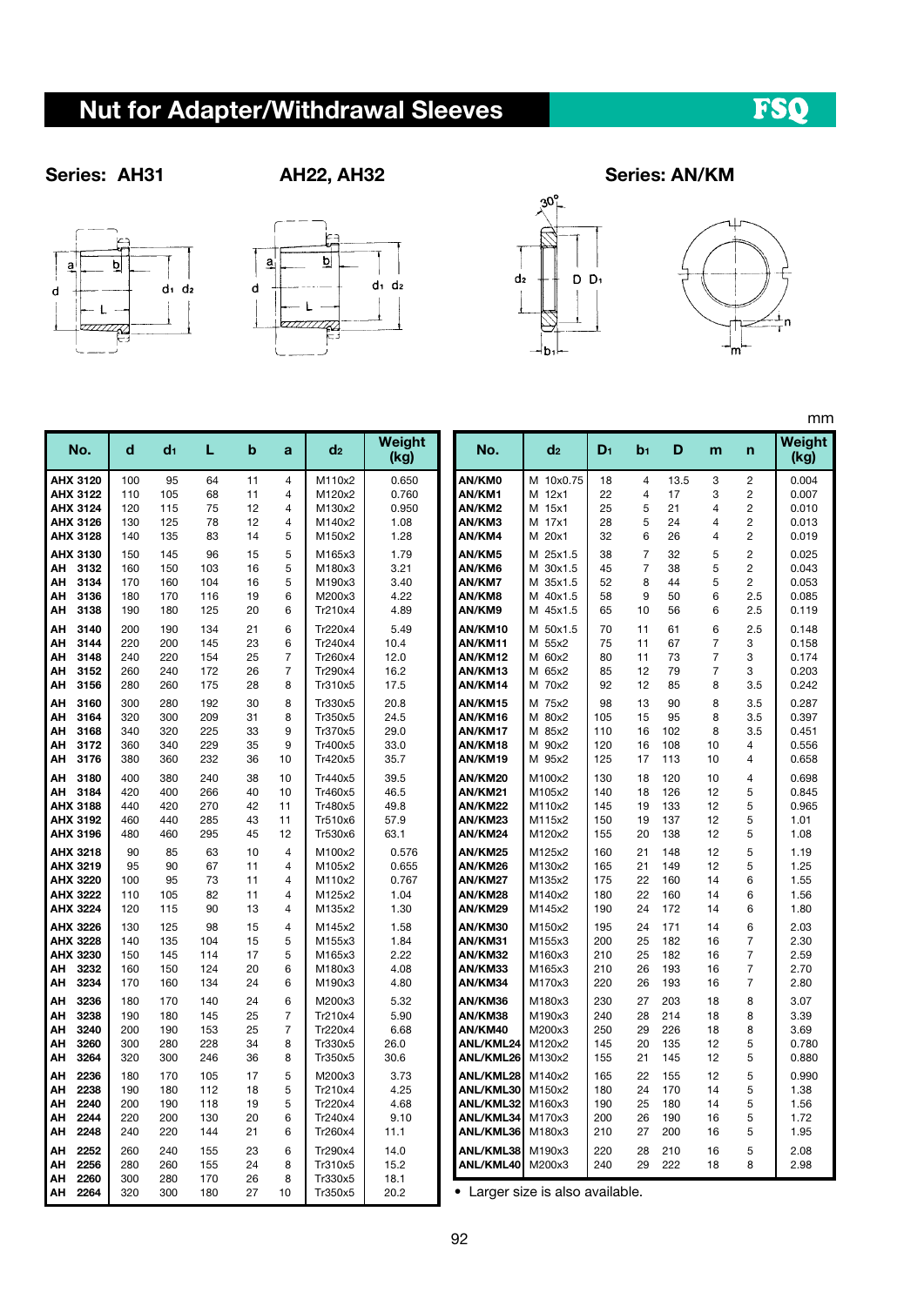# Nut for Adapter/Withdrawal Sleeves

## FSQ







### Series: AH31 AH22, AH32 Series: AN/KM



mm

| No.                                                                | d                               | d1                              | L                               | b                          | a                                                                    | d2                                                  | <b>Weight</b><br>(kg)                   | No.                                                           | d2                                                       | $D_1$                           | b1                                  | D                               | m                                  | n                                                                             | Weight<br>(kg)                            |
|--------------------------------------------------------------------|---------------------------------|---------------------------------|---------------------------------|----------------------------|----------------------------------------------------------------------|-----------------------------------------------------|-----------------------------------------|---------------------------------------------------------------|----------------------------------------------------------|---------------------------------|-------------------------------------|---------------------------------|------------------------------------|-------------------------------------------------------------------------------|-------------------------------------------|
| AHX 3120<br>AHX 3122<br>AHX 3124<br>AHX 3126                       | 100<br>110<br>120<br>130        | 95<br>105<br>115<br>125         | 64<br>68<br>75<br>78            | 11<br>11<br>12<br>12       | $\overline{4}$<br>$\overline{4}$<br>$\overline{4}$<br>$\overline{4}$ | M110x2<br>M120x2<br>M130x2<br>M140x2                | 0.650<br>0.760<br>0.950<br>1.08         | AN/KM0<br>AN/KM1<br>AN/KM2<br>AN/KM3                          | M 10x0.75<br>M 12x1<br>M 15x1<br>17x1<br>м               | 18<br>22<br>25<br>28            | $\overline{4}$<br>4<br>5<br>5       | 13.5<br>17<br>21<br>24          | 3<br>3<br>4<br>4                   | $\overline{\mathbf{c}}$<br>$\overline{c}$<br>$\overline{c}$<br>$\overline{2}$ | 0.004<br>0.007<br>0.010<br>0.013          |
| AHX 3128                                                           | 140                             | 135                             | 83                              | 14                         | 5                                                                    | M150x2                                              | 1.28                                    | AN/KM4                                                        | M 20x1                                                   | 32                              | 6                                   | 26                              | 4                                  | $\overline{\mathbf{c}}$                                                       | 0.019                                     |
| AHX 3130<br>3132<br>АН<br>3134<br>АН<br>3136<br>АН<br>3138<br>АΗ   | 150<br>160<br>170<br>180<br>190 | 145<br>150<br>160<br>170<br>180 | 96<br>103<br>104<br>116<br>125  | 15<br>16<br>16<br>19<br>20 | 5<br>5<br>5<br>6<br>6                                                | M165x3<br>M180x3<br>M190x3<br>M200x3<br>Tr210x4     | 1.79<br>3.21<br>3.40<br>4.22<br>4.89    | AN/KM5<br>AN/KM6<br>AN/KM7<br>AN/KM8<br>AN/KM9                | M 25x1.5<br>M 30x1.5<br>M 35x1.5<br>M 40x1.5<br>M 45x1.5 | 38<br>45<br>52<br>58<br>65      | $\overline{7}$<br>7<br>8<br>9<br>10 | 32<br>38<br>44<br>50<br>56      | 5<br>5<br>5<br>6<br>6              | $\overline{2}$<br>$\overline{c}$<br>$\overline{c}$<br>2.5<br>2.5              | 0.025<br>0.043<br>0.053<br>0.085<br>0.119 |
| 3140<br>АН<br>3144<br>ΑН<br>3148<br>ΑН<br>3152<br>АΗ<br>АН<br>3156 | 200<br>220<br>240<br>260<br>280 | 190<br>200<br>220<br>240<br>260 | 134<br>145<br>154<br>172<br>175 | 21<br>23<br>25<br>26<br>28 | 6<br>6<br>$\overline{7}$<br>$\overline{7}$<br>8                      | Tr220x4<br>Tr240x4<br>Tr260x4<br>Tr290x4<br>Tr310x5 | 5.49<br>10.4<br>12.0<br>16.2<br>17.5    | AN/KM10<br>AN/KM11<br>AN/KM12<br>AN/KM13<br>AN/KM14           | M 50x1.5<br>M 55x2<br>M 60x2<br>M 65x2<br>M 70x2         | 70<br>75<br>80<br>85<br>92      | 11<br>11<br>11<br>12<br>12          | 61<br>67<br>73<br>79<br>85      | 6<br>$\overline{7}$<br>7<br>7<br>8 | 2.5<br>3<br>3<br>3<br>3.5                                                     | 0.148<br>0.158<br>0.174<br>0.203<br>0.242 |
| 3160<br>АН<br>3164<br>АН<br>3168<br>АΗ<br>3172<br>АΗ<br>3176<br>ΑН | 300<br>320<br>340<br>360<br>380 | 280<br>300<br>320<br>340<br>360 | 192<br>209<br>225<br>229<br>232 | 30<br>31<br>33<br>35<br>36 | 8<br>8<br>9<br>9<br>10                                               | Tr330x5<br>Tr350x5<br>Tr370x5<br>Tr400x5<br>Tr420x5 | 20.8<br>24.5<br>29.0<br>33.0<br>35.7    | AN/KM15<br>AN/KM16<br>AN/KM17<br>AN/KM18<br>AN/KM19           | M 75x2<br>M 80x2<br>M 85x2<br>M 90x2<br>M 95x2           | 98<br>105<br>110<br>120<br>125  | 13<br>15<br>16<br>16<br>17          | 90<br>95<br>102<br>108<br>113   | 8<br>8<br>8<br>10<br>10            | 3.5<br>3.5<br>3.5<br>$\overline{4}$<br>$\overline{4}$                         | 0.287<br>0.397<br>0.451<br>0.556<br>0.658 |
| 3180<br>ΑН<br>3184<br>АН<br>AHX 3188<br>AHX 3192<br>AHX 3196       | 400<br>420<br>440<br>460<br>480 | 380<br>400<br>420<br>440<br>460 | 240<br>266<br>270<br>285<br>295 | 38<br>40<br>42<br>43<br>45 | 10<br>10<br>11<br>11<br>12                                           | Tr440x5<br>Tr460x5<br>Tr480x5<br>Tr510x6<br>Tr530x6 | 39.5<br>46.5<br>49.8<br>57.9<br>63.1    | AN/KM20<br>AN/KM21<br>AN/KM22<br>AN/KM23<br>AN/KM24           | M100x2<br>M105x2<br>M110x2<br>M115x2<br>M120x2           | 130<br>140<br>145<br>150<br>155 | 18<br>18<br>19<br>19<br>20          | 120<br>126<br>133<br>137<br>138 | 10<br>12<br>12<br>12<br>12         | $\overline{4}$<br>5<br>5<br>5<br>5                                            | 0.698<br>0.845<br>0.965<br>1.01<br>1.08   |
| AHX 3218<br>AHX 3219<br>AHX 3220<br>AHX 3222<br>AHX 3224           | 90<br>95<br>100<br>110<br>120   | 85<br>90<br>95<br>105<br>115    | 63<br>67<br>73<br>82<br>90      | 10<br>11<br>11<br>11<br>13 | 4<br>$\overline{4}$<br>$\overline{4}$<br>4<br>4                      | M100x2<br>M105x2<br>M110x2<br>M125x2<br>M135x2      | 0.576<br>0.655<br>0.767<br>1.04<br>1.30 | AN/KM25<br>AN/KM26<br>AN/KM27<br>AN/KM28<br>AN/KM29           | M125x2<br>M130x2<br>M135x2<br>M140x2<br>M145x2           | 160<br>165<br>175<br>180<br>190 | 21<br>21<br>22<br>22<br>24          | 148<br>149<br>160<br>160<br>172 | 12<br>12<br>14<br>14<br>14         | 5<br>5<br>6<br>6<br>6                                                         | 1.19<br>1.25<br>1.55<br>1.56<br>1.80      |
| AHX 3226<br>AHX 3228<br>AHX 3230<br>3232<br>ΑН<br>3234<br>АН       | 130<br>140<br>150<br>160<br>170 | 125<br>135<br>145<br>150<br>160 | 98<br>104<br>114<br>124<br>134  | 15<br>15<br>17<br>20<br>24 | 4<br>5<br>5<br>6<br>6                                                | M145x2<br>M155x3<br>M165x3<br>M180x3<br>M190x3      | 1.58<br>1.84<br>2.22<br>4.08<br>4.80    | AN/KM30<br>AN/KM31<br>AN/KM32<br>AN/KM33<br>AN/KM34           | M150x2<br>M155x3<br>M160x3<br>M165x3<br>M170x3           | 195<br>200<br>210<br>210<br>220 | 24<br>25<br>25<br>26<br>26          | 171<br>182<br>182<br>193<br>193 | 14<br>16<br>16<br>16<br>16         | 6<br>$\overline{7}$<br>$\overline{7}$<br>$\overline{7}$<br>$\overline{7}$     | 2.03<br>2.30<br>2.59<br>2.70<br>2.80      |
| 3236<br>АН<br>3238<br>ΑН<br>3240<br>ΑН<br>3260<br>АН<br>3264<br>АН | 180<br>190<br>200<br>300<br>320 | 170<br>180<br>190<br>280<br>300 | 140<br>145<br>153<br>228<br>246 | 24<br>25<br>25<br>34<br>36 | 6<br>$\overline{7}$<br>$\overline{7}$<br>8<br>8                      | M200x3<br>Tr210x4<br>Tr220x4<br>Tr330x5<br>Tr350x5  | 5.32<br>5.90<br>6.68<br>26.0<br>30.6    | AN/KM36<br>AN/KM38<br>AN/KM40<br>ANL/KML24<br>ANL/KML26       | M180x3<br>M190x3<br>M200x3<br>M120x2<br>M130x2           | 230<br>240<br>250<br>145<br>155 | 27<br>28<br>29<br>20<br>21          | 203<br>214<br>226<br>135<br>145 | 18<br>18<br>18<br>12<br>12         | 8<br>8<br>8<br>5<br>5                                                         | 3.07<br>3.39<br>3.69<br>0.780<br>0.880    |
| 2236<br>ΑН<br>2238<br>ΑН<br>2240<br>ΑН<br>2244<br>АН<br>2248<br>АН | 180<br>190<br>200<br>220<br>240 | 170<br>180<br>190<br>200<br>220 | 105<br>112<br>118<br>130<br>144 | 17<br>18<br>19<br>20<br>21 | 5<br>5<br>5<br>6<br>6                                                | M200x3<br>Tr210x4<br>Tr220x4<br>Tr240x4<br>Tr260x4  | 3.73<br>4.25<br>4.68<br>9.10<br>11.1    | ANL/KML28<br>ANL/KML30<br>ANL/KML32<br>ANL/KML34<br>ANL/KML36 | M140x2<br>M150x2<br>M160x3<br>M170x3<br>M180x3           | 165<br>180<br>190<br>200<br>210 | 22<br>24<br>25<br>26<br>27          | 155<br>170<br>180<br>190<br>200 | 12<br>14<br>14<br>16<br>16         | 5<br>5<br>5<br>5<br>5                                                         | 0.990<br>1.38<br>1.56<br>1.72<br>1.95     |
| 2252<br>ΑН<br>2256<br>АН<br>2260<br>ΑН<br>2264<br>ΑН               | 260<br>280<br>300<br>320        | 240<br>260<br>280<br>300        | 155<br>155<br>170<br>180        | 23<br>24<br>26<br>27       | 6<br>8<br>8<br>10                                                    | Tr290x4<br>Tr310x5<br>Tr330x5<br>Tr350x5            | 14.0<br>15.2<br>18.1<br>20.2            | ANL/KML38<br>ANL/KML40                                        | M190x3<br>M200x3<br>Larger size is also available.       | 220<br>240                      | 28<br>29                            | 210<br>222                      | 16<br>18                           | 5<br>8                                                                        | 2.08<br>2.98                              |